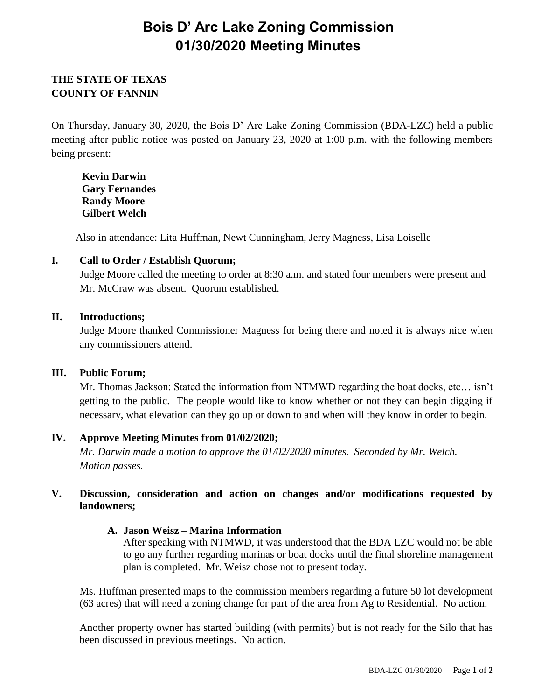# **Bois D' Arc Lake Zoning Commission 01/30/2020 Meeting Minutes**

# **THE STATE OF TEXAS COUNTY OF FANNIN**

On Thursday, January 30, 2020, the Bois D' Arc Lake Zoning Commission (BDA-LZC) held a public meeting after public notice was posted on January 23, 2020 at 1:00 p.m. with the following members being present:

**Kevin Darwin Gary Fernandes Randy Moore Gilbert Welch**

Also in attendance: Lita Huffman, Newt Cunningham, Jerry Magness, Lisa Loiselle

## **I. Call to Order / Establish Quorum;**

Judge Moore called the meeting to order at 8:30 a.m. and stated four members were present and Mr. McCraw was absent. Quorum established.

#### **II. Introductions;**

Judge Moore thanked Commissioner Magness for being there and noted it is always nice when any commissioners attend.

## **III. Public Forum;**

Mr. Thomas Jackson: Stated the information from NTMWD regarding the boat docks, etc… isn't getting to the public. The people would like to know whether or not they can begin digging if necessary, what elevation can they go up or down to and when will they know in order to begin.

## **IV. Approve Meeting Minutes from 01/02/2020;**

*Mr. Darwin made a motion to approve the 01/02/2020 minutes. Seconded by Mr. Welch. Motion passes.*

## **V. Discussion, consideration and action on changes and/or modifications requested by landowners;**

## **A. Jason Weisz – Marina Information**

After speaking with NTMWD, it was understood that the BDA LZC would not be able to go any further regarding marinas or boat docks until the final shoreline management plan is completed. Mr. Weisz chose not to present today.

Ms. Huffman presented maps to the commission members regarding a future 50 lot development (63 acres) that will need a zoning change for part of the area from Ag to Residential. No action.

Another property owner has started building (with permits) but is not ready for the Silo that has been discussed in previous meetings. No action.